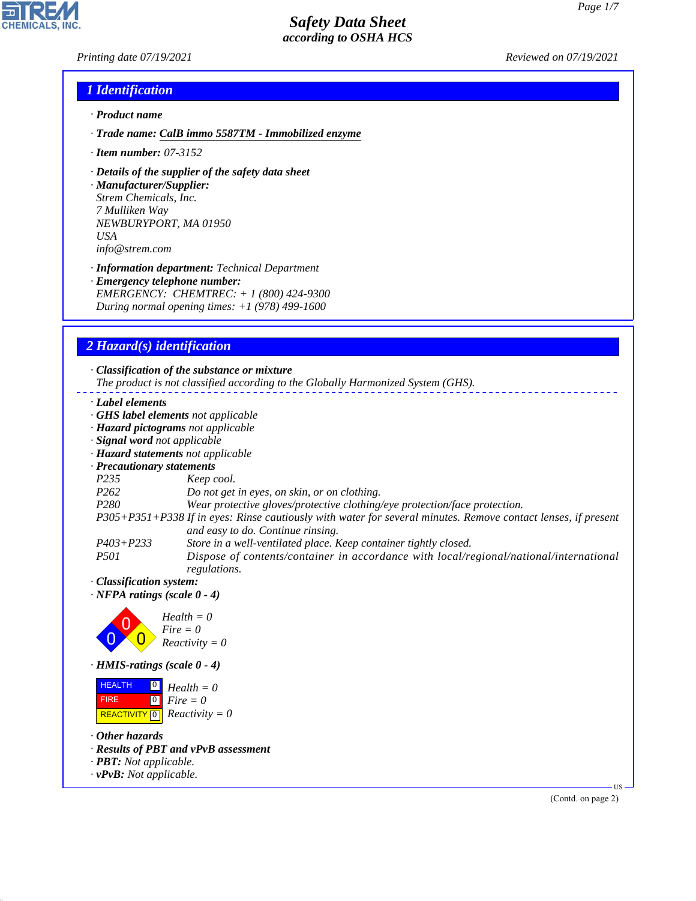*Printing date 07/19/2021 Reviewed on 07/19/2021*

### *1 Identification*

- *· Product name*
- *· Trade name: CalB immo 5587TM Immobilized enzyme*
- *· Item number: 07-3152*
- *· Details of the supplier of the safety data sheet*

*· Manufacturer/Supplier: Strem Chemicals, Inc. 7 Mulliken Way NEWBURYPORT, MA 01950 USA info@strem.com*

*· Information department: Technical Department · Emergency telephone number: EMERGENCY: CHEMTREC: + 1 (800) 424-9300 During normal opening times: +1 (978) 499-1600*

# *2 Hazard(s) identification*

*· Classification of the substance or mixture The product is not classified according to the Globally Harmonized System (GHS). · Label elements · GHS label elements not applicable · Hazard pictograms not applicable · Signal word not applicable · Hazard statements not applicable · Precautionary statements P235 Keep cool. P262 Do not get in eyes, on skin, or on clothing. P280 Wear protective gloves/protective clothing/eye protection/face protection. P305+P351+P338 If in eyes: Rinse cautiously with water for several minutes. Remove contact lenses, if present and easy to do. Continue rinsing. P403+P233 Store in a well-ventilated place. Keep container tightly closed. P501 Dispose of contents/container in accordance with local/regional/national/international regulations. · Classification system: · NFPA ratings (scale 0 - 4)* 0 0  $\overline{0}$ *Health = 0 Fire = 0 Reactivity = 0 · HMIS-ratings (scale 0 - 4)* **HEALTH**  FIRE  $\boxed{\text{REACTIVITY} \boxed{0}}$  Reactivity = 0 0 *Health = 0*  $\overline{\phantom{0}}$ *Fire = 0*

*· Other hazards*

44.1.1

- *· Results of PBT and vPvB assessment*
- *· PBT: Not applicable.*
- *· vPvB: Not applicable.*

(Contd. on page 2)

US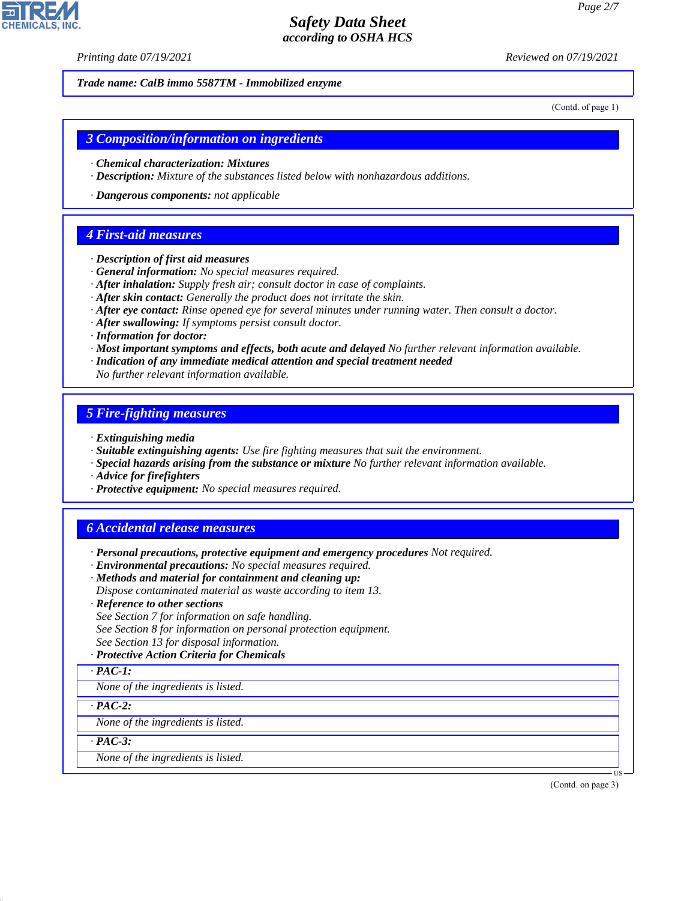*Printing date 07/19/2021 Reviewed on 07/19/2021*

*Trade name: CalB immo 5587TM - Immobilized enzyme*

(Contd. of page 1)

#### *3 Composition/information on ingredients*

- *· Chemical characterization: Mixtures*
- *· Description: Mixture of the substances listed below with nonhazardous additions.*
- *· Dangerous components: not applicable*

#### *4 First-aid measures*

- *· Description of first aid measures*
- *· General information: No special measures required.*
- *· After inhalation: Supply fresh air; consult doctor in case of complaints.*
- *· After skin contact: Generally the product does not irritate the skin.*
- *· After eye contact: Rinse opened eye for several minutes under running water. Then consult a doctor.*
- *· After swallowing: If symptoms persist consult doctor.*
- *· Information for doctor:*
- *· Most important symptoms and effects, both acute and delayed No further relevant information available.*
- *· Indication of any immediate medical attention and special treatment needed*
- *No further relevant information available.*

### *5 Fire-fighting measures*

- *· Extinguishing media*
- *· Suitable extinguishing agents: Use fire fighting measures that suit the environment.*
- *· Special hazards arising from the substance or mixture No further relevant information available.*
- *· Advice for firefighters*
- *· Protective equipment: No special measures required.*

### *6 Accidental release measures*

- *· Personal precautions, protective equipment and emergency procedures Not required.*
- *· Environmental precautions: No special measures required.*
- *· Methods and material for containment and cleaning up:*
- *Dispose contaminated material as waste according to item 13.*
- *· Reference to other sections*
- *See Section 7 for information on safe handling.*
- *See Section 8 for information on personal protection equipment.*
- *See Section 13 for disposal information.*

#### *· Protective Action Criteria for Chemicals*

*· PAC-1:*

*None of the ingredients is listed.*

*· PAC-2:*

*None of the ingredients is listed.*

*· PAC-3:*

44.1.1

*None of the ingredients is listed.*

(Contd. on page 3)

US

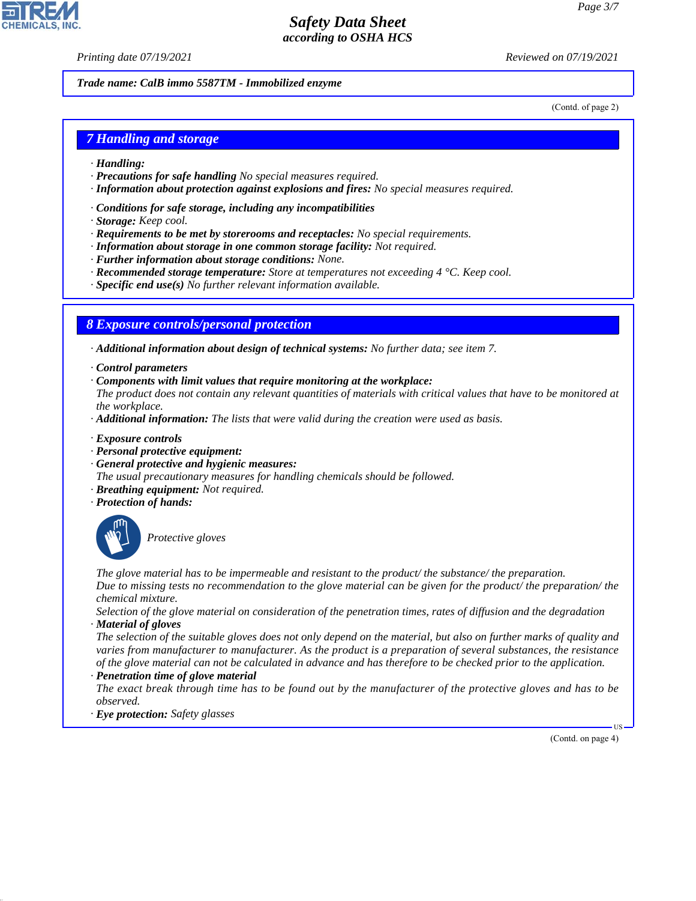*Printing date 07/19/2021 Reviewed on 07/19/2021*

*Trade name: CalB immo 5587TM - Immobilized enzyme*

(Contd. of page 2)

### *7 Handling and storage*

- *· Handling:*
- *· Precautions for safe handling No special measures required.*
- *· Information about protection against explosions and fires: No special measures required.*
- *· Conditions for safe storage, including any incompatibilities*
- *· Storage: Keep cool.*
- *· Requirements to be met by storerooms and receptacles: No special requirements.*
- *· Information about storage in one common storage facility: Not required.*
- *· Further information about storage conditions: None.*
- *· Recommended storage temperature: Store at temperatures not exceeding 4 °C. Keep cool.*
- *· Specific end use(s) No further relevant information available.*

### *8 Exposure controls/personal protection*

*· Additional information about design of technical systems: No further data; see item 7.*

- *· Control parameters*
- *· Components with limit values that require monitoring at the workplace:*

*The product does not contain any relevant quantities of materials with critical values that have to be monitored at the workplace.*

- *· Additional information: The lists that were valid during the creation were used as basis.*
- *· Exposure controls*
- *· Personal protective equipment:*
- *· General protective and hygienic measures:*
- *The usual precautionary measures for handling chemicals should be followed.*
- *· Breathing equipment: Not required.*
- *· Protection of hands:*



44.1.1

\_S*Protective gloves*

*The glove material has to be impermeable and resistant to the product/ the substance/ the preparation. Due to missing tests no recommendation to the glove material can be given for the product/ the preparation/ the chemical mixture.*

*Selection of the glove material on consideration of the penetration times, rates of diffusion and the degradation · Material of gloves*

*The selection of the suitable gloves does not only depend on the material, but also on further marks of quality and varies from manufacturer to manufacturer. As the product is a preparation of several substances, the resistance of the glove material can not be calculated in advance and has therefore to be checked prior to the application. · Penetration time of glove material*

*The exact break through time has to be found out by the manufacturer of the protective gloves and has to be observed.*

*· Eye protection: Safety glasses*

(Contd. on page 4)

US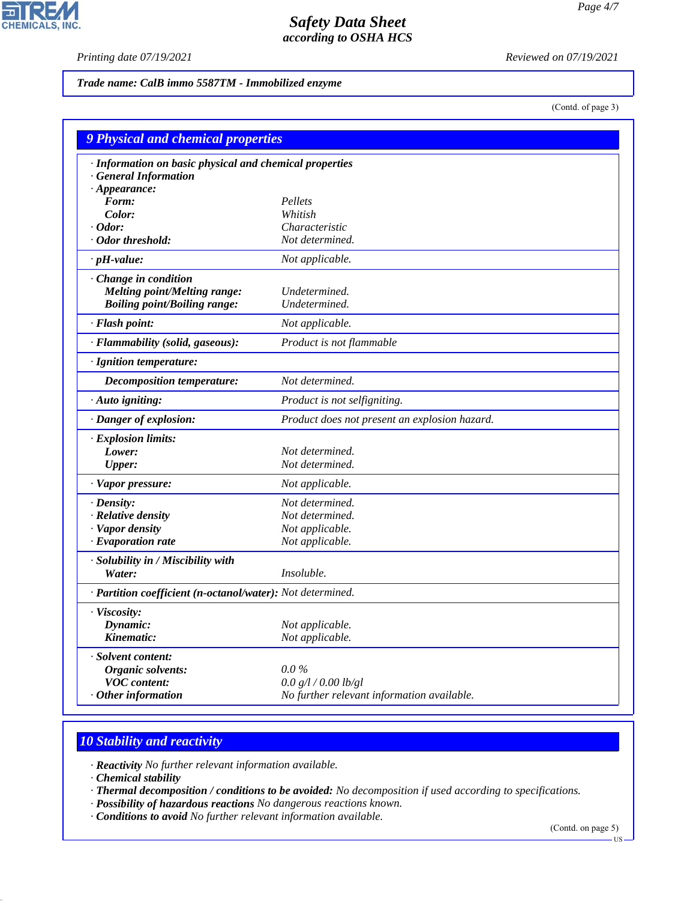$\mathbf{r}$ 

**CHEMICALS, INC.** 

*Printing date 07/19/2021 Reviewed on 07/19/2021*

*Trade name: CalB immo 5587TM - Immobilized enzyme*

(Contd. of page 3)

| 9 Physical and chemical properties                         |                                               |  |
|------------------------------------------------------------|-----------------------------------------------|--|
| · Information on basic physical and chemical properties    |                                               |  |
| · General Information                                      |                                               |  |
| $\cdot$ Appearance:                                        |                                               |  |
| Form:                                                      | Pellets                                       |  |
| Color:                                                     | Whitish                                       |  |
| $\cdot$ Odor:                                              | Characteristic                                |  |
| · Odor threshold:                                          | Not determined.                               |  |
| $\cdot$ pH-value:                                          | Not applicable.                               |  |
| · Change in condition                                      |                                               |  |
| Melting point/Melting range:                               | Undetermined.                                 |  |
| <b>Boiling point/Boiling range:</b>                        | Undetermined.                                 |  |
| · Flash point:                                             | Not applicable.                               |  |
| · Flammability (solid, gaseous):                           | Product is not flammable                      |  |
| · Ignition temperature:                                    |                                               |  |
| <b>Decomposition temperature:</b>                          | Not determined.                               |  |
| · Auto igniting:                                           | Product is not selfigniting.                  |  |
| · Danger of explosion:                                     | Product does not present an explosion hazard. |  |
| · Explosion limits:                                        |                                               |  |
| Lower:                                                     | Not determined.                               |  |
| <b>Upper:</b>                                              | Not determined.                               |  |
| · Vapor pressure:                                          | Not applicable.                               |  |
| $\cdot$ Density:                                           | Not determined.                               |  |
| · Relative density                                         | Not determined.                               |  |
| · Vapor density                                            | Not applicable.                               |  |
| $\cdot$ Evaporation rate                                   | Not applicable.                               |  |
| · Solubility in / Miscibility with                         |                                               |  |
| Water:                                                     | Insoluble.                                    |  |
| · Partition coefficient (n-octanol/water): Not determined. |                                               |  |
| · Viscosity:                                               |                                               |  |
| Dynamic:                                                   | Not applicable.                               |  |
| Kinematic:                                                 | Not applicable.                               |  |
| · Solvent content:                                         |                                               |  |
| Organic solvents:                                          | $0.0\%$                                       |  |
| <b>VOC</b> content:                                        | 0.0 g/l / 0.00 lb/gl                          |  |
| $\cdot$ Other information                                  | No further relevant information available.    |  |

# *10 Stability and reactivity*

*· Reactivity No further relevant information available.*

*· Chemical stability*

44.1.1

*· Thermal decomposition / conditions to be avoided: No decomposition if used according to specifications.*

- *· Possibility of hazardous reactions No dangerous reactions known.*
- *· Conditions to avoid No further relevant information available.*

(Contd. on page 5)

US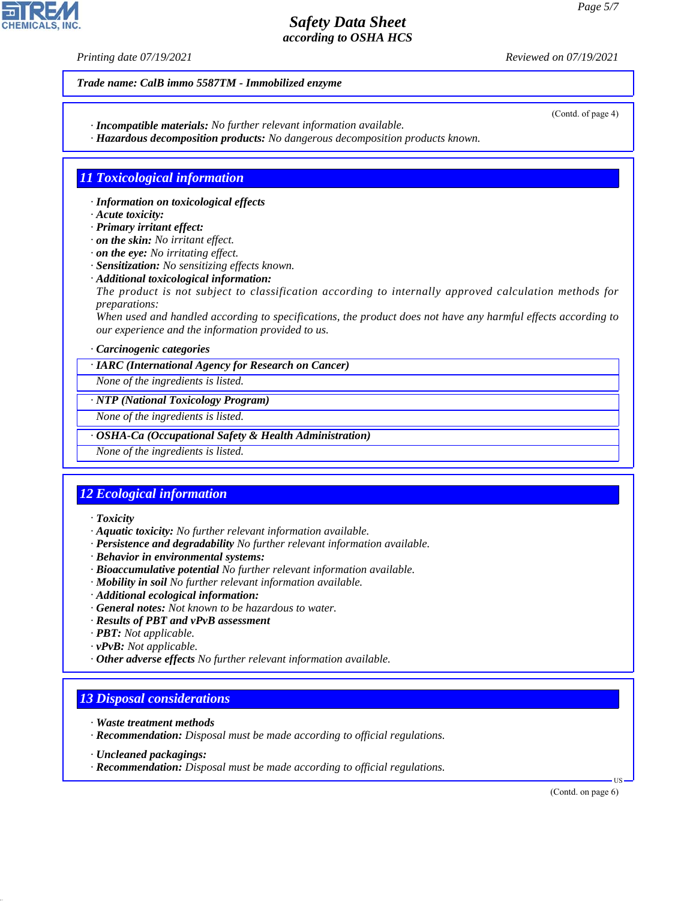*Printing date 07/19/2021 Reviewed on 07/19/2021*

### *Trade name: CalB immo 5587TM - Immobilized enzyme*

- *· Incompatible materials: No further relevant information available.*
- *· Hazardous decomposition products: No dangerous decomposition products known.*

### *11 Toxicological information*

- *· Information on toxicological effects*
- *· Acute toxicity:*
- *· Primary irritant effect:*
- *· on the skin: No irritant effect.*
- *· on the eye: No irritating effect.*
- *· Sensitization: No sensitizing effects known.*
- *· Additional toxicological information:*
- *The product is not subject to classification according to internally approved calculation methods for preparations:*

*When used and handled according to specifications, the product does not have any harmful effects according to our experience and the information provided to us.*

#### *· Carcinogenic categories*

*· IARC (International Agency for Research on Cancer)*

*None of the ingredients is listed.*

#### *· NTP (National Toxicology Program)*

*None of the ingredients is listed.*

#### *· OSHA-Ca (Occupational Safety & Health Administration)*

*None of the ingredients is listed.*

## *12 Ecological information*

#### *· Toxicity*

- *· Aquatic toxicity: No further relevant information available.*
- *· Persistence and degradability No further relevant information available.*
- *· Behavior in environmental systems:*
- *· Bioaccumulative potential No further relevant information available.*
- *· Mobility in soil No further relevant information available.*
- *· Additional ecological information:*
- *· General notes: Not known to be hazardous to water.*
- *· Results of PBT and vPvB assessment*
- *· PBT: Not applicable.*
- *· vPvB: Not applicable.*
- *· Other adverse effects No further relevant information available.*

## *13 Disposal considerations*

- *· Waste treatment methods*
- *· Recommendation: Disposal must be made according to official regulations.*
- *· Uncleaned packagings:*

44.1.1

*· Recommendation: Disposal must be made according to official regulations.*

(Contd. on page 6)

US



(Contd. of page 4)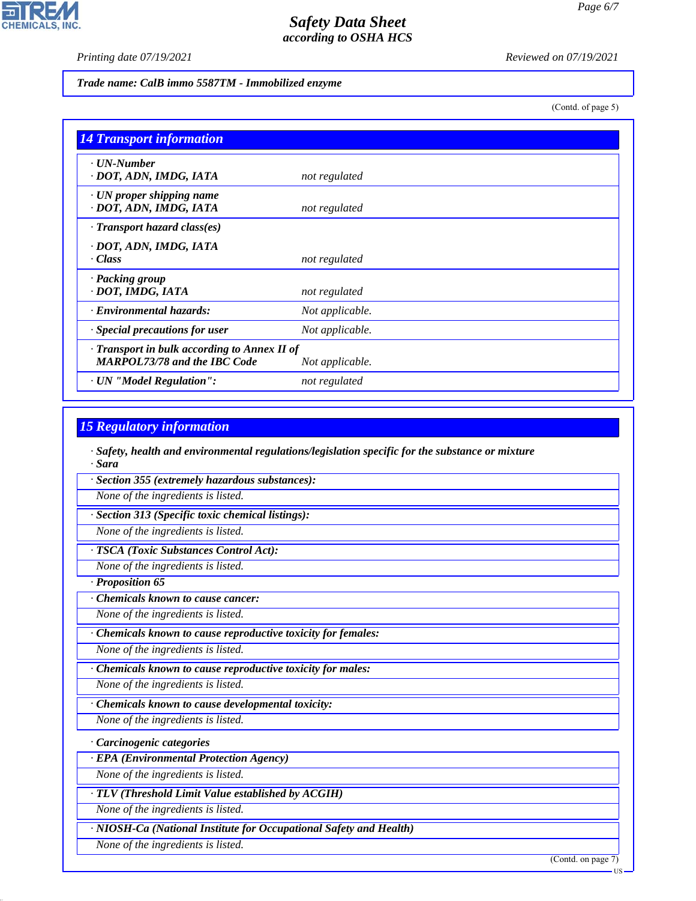$\mathbf{L}$ 

**CHEMICALS, INC.** 

*Printing date 07/19/2021 Reviewed on 07/19/2021*

*Trade name: CalB immo 5587TM - Immobilized enzyme*

(Contd. of page 5)

| <b>14 Transport information</b>                                                     |                 |
|-------------------------------------------------------------------------------------|-----------------|
| $\cdot$ UN-Number<br>· DOT, ADN, IMDG, IATA                                         | not regulated   |
| $\cdot$ UN proper shipping name<br>· DOT, ADN, IMDG, IATA                           | not regulated   |
| $\cdot$ Transport hazard class(es)                                                  |                 |
| · DOT, ADN, IMDG, IATA<br>· Class                                                   | not regulated   |
| · Packing group<br>· DOT, IMDG, IATA                                                | not regulated   |
| · Environmental hazards:                                                            | Not applicable. |
| · Special precautions for user                                                      | Not applicable. |
| · Transport in bulk according to Annex II of<br><b>MARPOL73/78 and the IBC Code</b> | Not applicable. |
| · UN "Model Regulation":                                                            | not regulated   |

### *15 Regulatory information*

*· Safety, health and environmental regulations/legislation specific for the substance or mixture · Sara*

*· Section 355 (extremely hazardous substances):*

*None of the ingredients is listed.*

*· Section 313 (Specific toxic chemical listings):*

*None of the ingredients is listed.*

*· TSCA (Toxic Substances Control Act):*

*None of the ingredients is listed.*

*· Proposition 65*

*· Chemicals known to cause cancer:*

*None of the ingredients is listed.*

*· Chemicals known to cause reproductive toxicity for females:*

*None of the ingredients is listed.*

*· Chemicals known to cause reproductive toxicity for males:*

*None of the ingredients is listed.*

*· Chemicals known to cause developmental toxicity:*

*None of the ingredients is listed.*

*· Carcinogenic categories*

*· EPA (Environmental Protection Agency)*

*None of the ingredients is listed.*

*· TLV (Threshold Limit Value established by ACGIH)*

*None of the ingredients is listed.*

*· NIOSH-Ca (National Institute for Occupational Safety and Health)*

*None of the ingredients is listed.*

44.1.1

(Contd. on page 7)

US